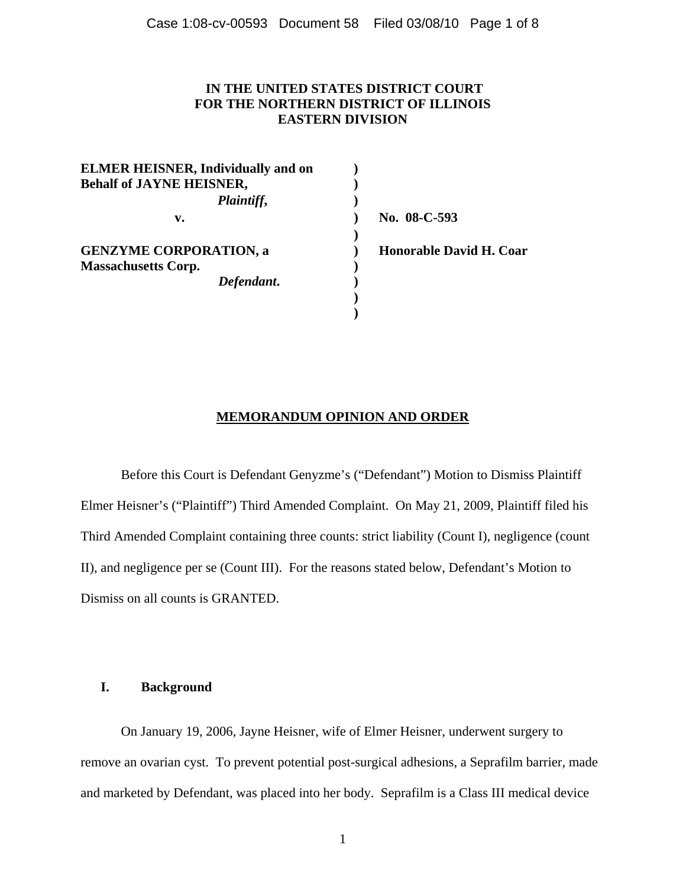## **IN THE UNITED STATES DISTRICT COURT FOR THE NORTHERN DISTRICT OF ILLINOIS EASTERN DIVISION**

| <b>ELMER HEISNER, Individually and on</b> |                         |
|-------------------------------------------|-------------------------|
| <b>Behalf of JAYNE HEISNER,</b>           |                         |
| Plaintiff,                                |                         |
| v.                                        | No. 08-C-593            |
|                                           |                         |
| <b>GENZYME CORPORATION, a</b>             | Honorable David H. Coar |
| <b>Massachusetts Corp.</b>                |                         |
| Defendant.                                |                         |
|                                           |                         |
|                                           |                         |

### **MEMORANDUM OPINION AND ORDER**

 Before this Court is Defendant Genyzme's ("Defendant") Motion to Dismiss Plaintiff Elmer Heisner's ("Plaintiff") Third Amended Complaint. On May 21, 2009, Plaintiff filed his Third Amended Complaint containing three counts: strict liability (Count I), negligence (count II), and negligence per se (Count III). For the reasons stated below, Defendant's Motion to Dismiss on all counts is GRANTED.

# **I. Background**

On January 19, 2006, Jayne Heisner, wife of Elmer Heisner, underwent surgery to remove an ovarian cyst. To prevent potential post-surgical adhesions, a Seprafilm barrier, made and marketed by Defendant, was placed into her body. Seprafilm is a Class III medical device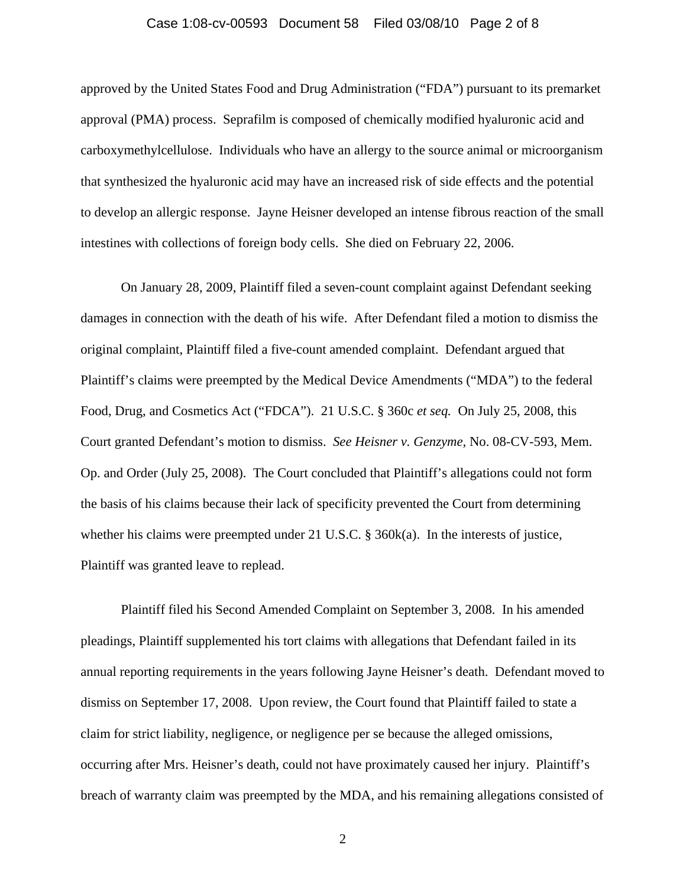### Case 1:08-cv-00593 Document 58 Filed 03/08/10 Page 2 of 8

approved by the United States Food and Drug Administration ("FDA") pursuant to its premarket approval (PMA) process. Seprafilm is composed of chemically modified hyaluronic acid and carboxymethylcellulose. Individuals who have an allergy to the source animal or microorganism that synthesized the hyaluronic acid may have an increased risk of side effects and the potential to develop an allergic response. Jayne Heisner developed an intense fibrous reaction of the small intestines with collections of foreign body cells. She died on February 22, 2006.

On January 28, 2009, Plaintiff filed a seven-count complaint against Defendant seeking damages in connection with the death of his wife. After Defendant filed a motion to dismiss the original complaint, Plaintiff filed a five-count amended complaint. Defendant argued that Plaintiff's claims were preempted by the Medical Device Amendments ("MDA") to the federal Food, Drug, and Cosmetics Act ("FDCA"). 21 U.S.C. § 360c *et seq.* On July 25, 2008, this Court granted Defendant's motion to dismiss. *See Heisner v. Genzyme,* No. 08-CV-593, Mem. Op. and Order (July 25, 2008). The Court concluded that Plaintiff's allegations could not form the basis of his claims because their lack of specificity prevented the Court from determining whether his claims were preempted under 21 U.S.C. § 360k(a). In the interests of justice, Plaintiff was granted leave to replead.

Plaintiff filed his Second Amended Complaint on September 3, 2008. In his amended pleadings, Plaintiff supplemented his tort claims with allegations that Defendant failed in its annual reporting requirements in the years following Jayne Heisner's death. Defendant moved to dismiss on September 17, 2008. Upon review, the Court found that Plaintiff failed to state a claim for strict liability, negligence, or negligence per se because the alleged omissions, occurring after Mrs. Heisner's death, could not have proximately caused her injury. Plaintiff's breach of warranty claim was preempted by the MDA, and his remaining allegations consisted of

2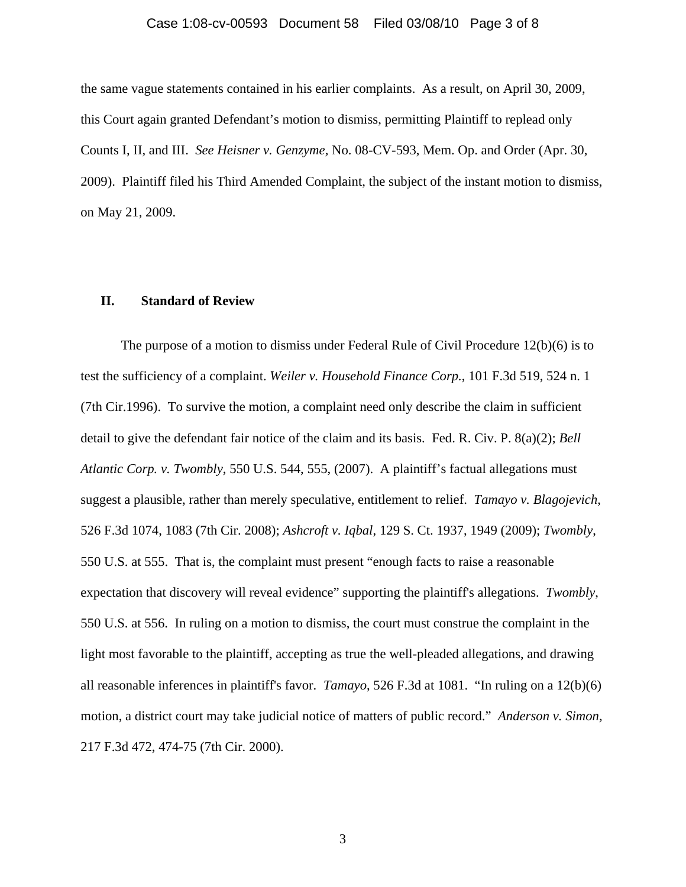### Case 1:08-cv-00593 Document 58 Filed 03/08/10 Page 3 of 8

the same vague statements contained in his earlier complaints. As a result, on April 30, 2009, this Court again granted Defendant's motion to dismiss, permitting Plaintiff to replead only Counts I, II, and III. *See Heisner v. Genzyme,* No. 08-CV-593, Mem. Op. and Order (Apr. 30, 2009). Plaintiff filed his Third Amended Complaint, the subject of the instant motion to dismiss, on May 21, 2009.

### **II. Standard of Review**

The purpose of a motion to dismiss under Federal Rule of Civil Procedure 12(b)(6) is to test the sufficiency of a complaint. *Weiler v. Household Finance Corp.*, 101 F.3d 519, 524 n. 1 (7th Cir.1996). To survive the motion, a complaint need only describe the claim in sufficient detail to give the defendant fair notice of the claim and its basis. Fed. R. Civ. P. 8(a)(2); *Bell Atlantic Corp. v. Twombly*, 550 U.S. 544, 555, (2007). A plaintiff's factual allegations must suggest a plausible, rather than merely speculative, entitlement to relief. *Tamayo v. Blagojevich*, 526 F.3d 1074, 1083 (7th Cir. 2008); *Ashcroft v. Iqbal*, 129 S. Ct. 1937, 1949 (2009); *Twombly*, 550 U.S. at 555. That is, the complaint must present "enough facts to raise a reasonable expectation that discovery will reveal evidence" supporting the plaintiff's allegations. *Twombly*, 550 U.S. at 556. In ruling on a motion to dismiss, the court must construe the complaint in the light most favorable to the plaintiff, accepting as true the well-pleaded allegations, and drawing all reasonable inferences in plaintiff's favor. *Tamayo*, 526 F.3d at 1081. "In ruling on a 12(b)(6) motion, a district court may take judicial notice of matters of public record." *Anderson v. Simon,*  217 F.3d 472, 474-75 (7th Cir. 2000).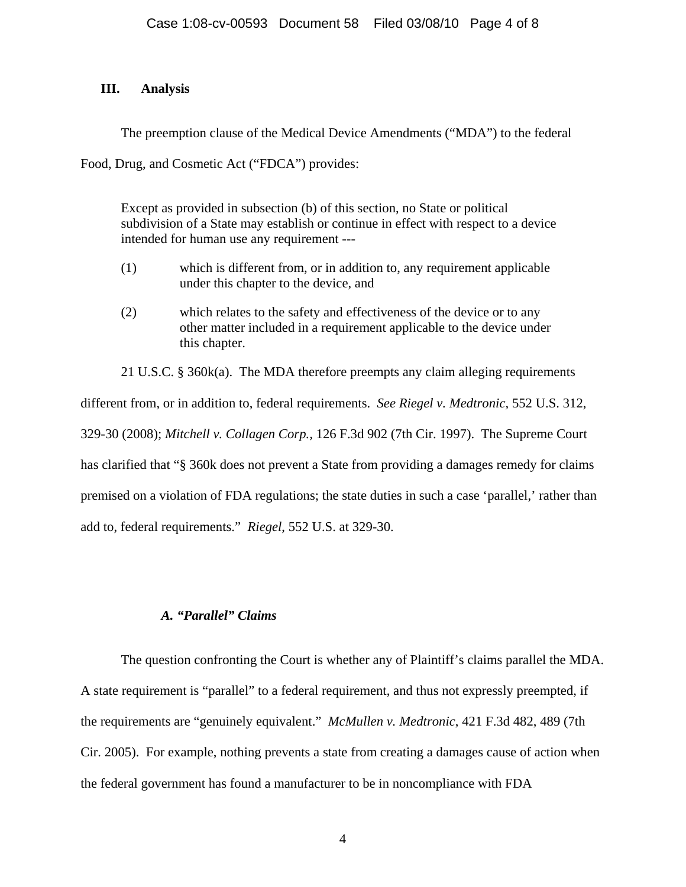## **III. Analysis**

The preemption clause of the Medical Device Amendments ("MDA") to the federal

Food, Drug, and Cosmetic Act ("FDCA") provides:

Except as provided in subsection (b) of this section, no State or political subdivision of a State may establish or continue in effect with respect to a device intended for human use any requirement ---

- (1) which is different from, or in addition to, any requirement applicable under this chapter to the device, and
- (2) which relates to the safety and effectiveness of the device or to any other matter included in a requirement applicable to the device under this chapter.

21 U.S.C. § 360k(a). The MDA therefore preempts any claim alleging requirements different from, or in addition to, federal requirements. *See Riegel v. Medtronic,* 552 U.S. 312, 329-30 (2008); *Mitchell v. Collagen Corp.,* 126 F.3d 902 (7th Cir. 1997). The Supreme Court has clarified that "§ 360k does not prevent a State from providing a damages remedy for claims premised on a violation of FDA regulations; the state duties in such a case 'parallel,' rather than add to, federal requirements."*Riegel*, 552 U.S. at 329-30.

# *A. "Parallel" Claims*

The question confronting the Court is whether any of Plaintiff's claims parallel the MDA. A state requirement is "parallel" to a federal requirement, and thus not expressly preempted, if the requirements are "genuinely equivalent." *McMullen v. Medtronic*, 421 F.3d 482, 489 (7th Cir. 2005). For example, nothing prevents a state from creating a damages cause of action when the federal government has found a manufacturer to be in noncompliance with FDA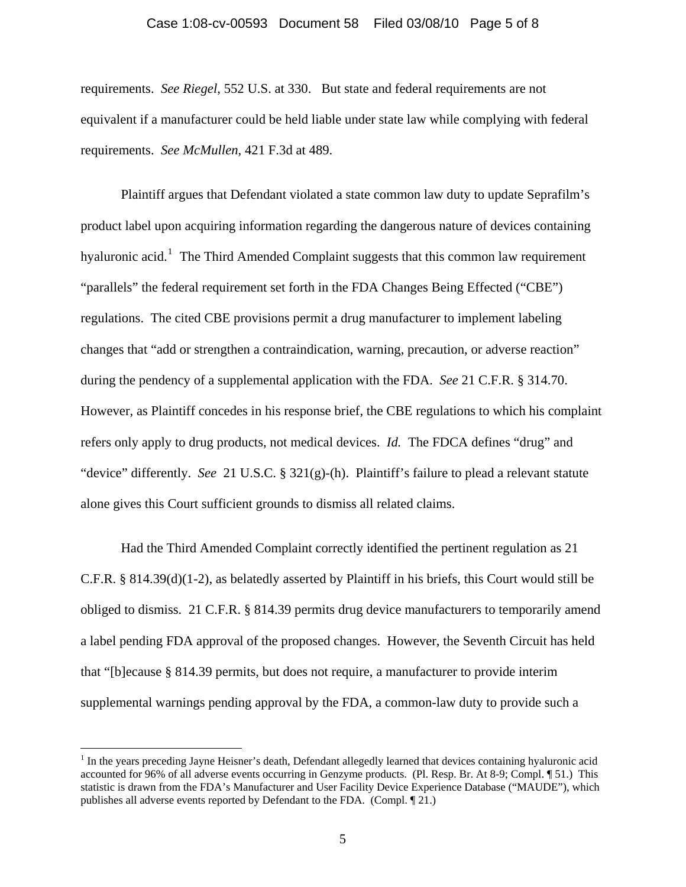#### Case 1:08-cv-00593 Document 58 Filed 03/08/10 Page 5 of 8

requirements. *See Riegel*, 552 U.S. at 330. But state and federal requirements are not equivalent if a manufacturer could be held liable under state law while complying with federal requirements. *See McMullen*, 421 F.3d at 489.

Plaintiff argues that Defendant violated a state common law duty to update Seprafilm's product label upon acquiring information regarding the dangerous nature of devices containing hyaluronic acid.<sup>[1](#page-4-0)</sup> The Third Amended Complaint suggests that this common law requirement "parallels" the federal requirement set forth in the FDA Changes Being Effected ("CBE") regulations. The cited CBE provisions permit a drug manufacturer to implement labeling changes that "add or strengthen a contraindication, warning, precaution, or adverse reaction" during the pendency of a supplemental application with the FDA. *See* 21 C.F.R. § 314.70. However, as Plaintiff concedes in his response brief, the CBE regulations to which his complaint refers only apply to drug products, not medical devices. *Id.* The FDCA defines "drug" and "device" differently. *See* 21 U.S.C. § 321(g)-(h). Plaintiff's failure to plead a relevant statute alone gives this Court sufficient grounds to dismiss all related claims.

Had the Third Amended Complaint correctly identified the pertinent regulation as 21 C.F.R. § 814.39(d)(1-2), as belatedly asserted by Plaintiff in his briefs, this Court would still be obliged to dismiss. 21 C.F.R. § 814.39 permits drug device manufacturers to temporarily amend a label pending FDA approval of the proposed changes. However, the Seventh Circuit has held that "[b]ecause § 814.39 permits, but does not require, a manufacturer to provide interim supplemental warnings pending approval by the FDA, a common-law duty to provide such a

 $\overline{a}$ 

<span id="page-4-0"></span><sup>&</sup>lt;sup>1</sup> In the years preceding Jayne Heisner's death, Defendant allegedly learned that devices containing hyaluronic acid accounted for 96% of all adverse events occurring in Genzyme products. (Pl. Resp. Br. At 8-9; Compl. ¶ 51.) This statistic is drawn from the FDA's Manufacturer and User Facility Device Experience Database ("MAUDE"), which publishes all adverse events reported by Defendant to the FDA. (Compl. ¶ 21.)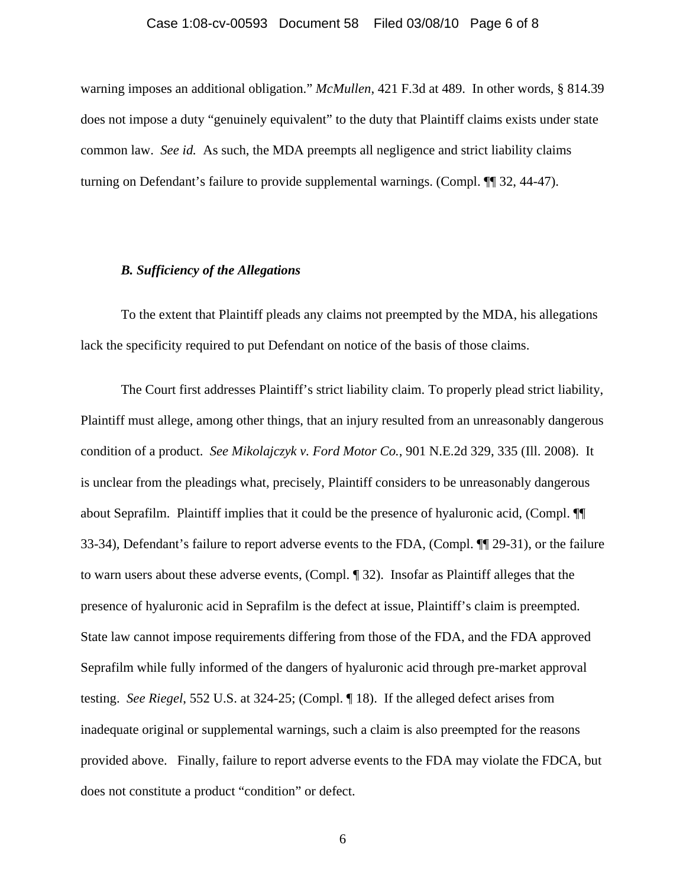warning imposes an additional obligation." *McMullen*, 421 F.3d at 489. In other words, § 814.39 does not impose a duty "genuinely equivalent" to the duty that Plaintiff claims exists under state common law. *See id.* As such, the MDA preempts all negligence and strict liability claims turning on Defendant's failure to provide supplemental warnings. (Compl. ¶¶ 32, 44-47).

## *B. Sufficiency of the Allegations*

To the extent that Plaintiff pleads any claims not preempted by the MDA, his allegations lack the specificity required to put Defendant on notice of the basis of those claims.

The Court first addresses Plaintiff's strict liability claim. To properly plead strict liability, Plaintiff must allege, among other things, that an injury resulted from an unreasonably dangerous condition of a product. *See Mikolajczyk v. Ford Motor Co.*, 901 N.E.2d 329, 335 (Ill. 2008). It is unclear from the pleadings what, precisely, Plaintiff considers to be unreasonably dangerous about Seprafilm. Plaintiff implies that it could be the presence of hyaluronic acid, (Compl. ¶¶ 33-34), Defendant's failure to report adverse events to the FDA, (Compl. ¶¶ 29-31), or the failure to warn users about these adverse events, (Compl. ¶ 32). Insofar as Plaintiff alleges that the presence of hyaluronic acid in Seprafilm is the defect at issue, Plaintiff's claim is preempted. State law cannot impose requirements differing from those of the FDA, and the FDA approved Seprafilm while fully informed of the dangers of hyaluronic acid through pre-market approval testing. *See Riegel*, 552 U.S. at 324-25; (Compl. ¶ 18). If the alleged defect arises from inadequate original or supplemental warnings, such a claim is also preempted for the reasons provided above. Finally, failure to report adverse events to the FDA may violate the FDCA, but does not constitute a product "condition" or defect.

6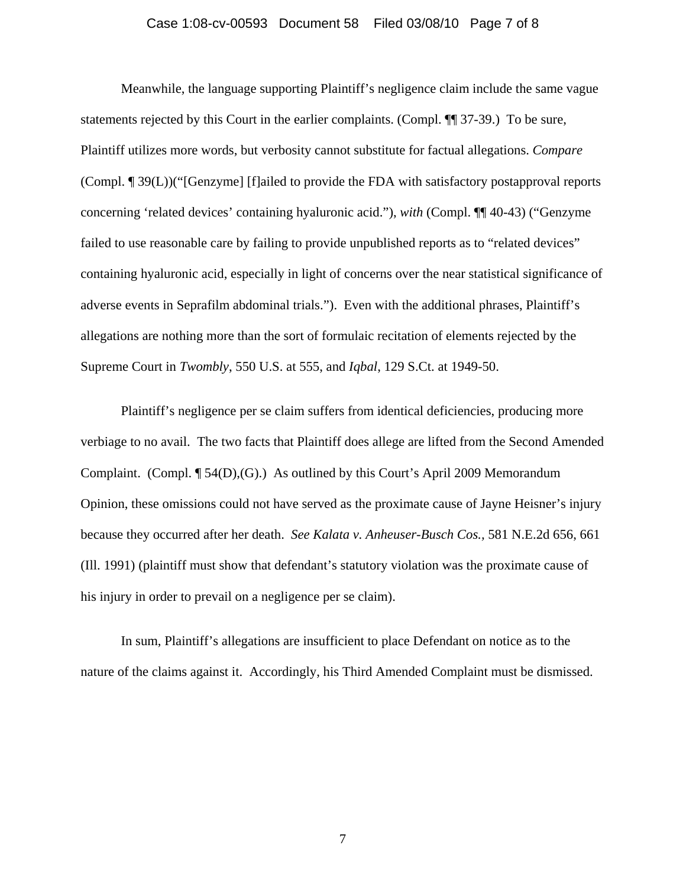### Case 1:08-cv-00593 Document 58 Filed 03/08/10 Page 7 of 8

Meanwhile, the language supporting Plaintiff's negligence claim include the same vague statements rejected by this Court in the earlier complaints. (Compl. ¶¶ 37-39.) To be sure, Plaintiff utilizes more words, but verbosity cannot substitute for factual allegations. *Compare*  (Compl. ¶ 39(L))("[Genzyme] [f]ailed to provide the FDA with satisfactory postapproval reports concerning 'related devices' containing hyaluronic acid."), *with* (Compl. ¶¶ 40-43) ("Genzyme failed to use reasonable care by failing to provide unpublished reports as to "related devices" containing hyaluronic acid, especially in light of concerns over the near statistical significance of adverse events in Seprafilm abdominal trials."). Even with the additional phrases, Plaintiff's allegations are nothing more than the sort of formulaic recitation of elements rejected by the Supreme Court in *Twombly*, 550 U.S. at 555, and *Iqbal*, 129 S.Ct. at 1949-50.

Plaintiff's negligence per se claim suffers from identical deficiencies, producing more verbiage to no avail. The two facts that Plaintiff does allege are lifted from the Second Amended Complaint. (Compl. ¶ 54(D),(G).) As outlined by this Court's April 2009 Memorandum Opinion, these omissions could not have served as the proximate cause of Jayne Heisner's injury because they occurred after her death. *See Kalata v. Anheuser-Busch Cos.,* 581 N.E.2d 656, 661 (Ill. 1991) (plaintiff must show that defendant's statutory violation was the proximate cause of his injury in order to prevail on a negligence per se claim).

In sum, Plaintiff's allegations are insufficient to place Defendant on notice as to the nature of the claims against it. Accordingly, his Third Amended Complaint must be dismissed.